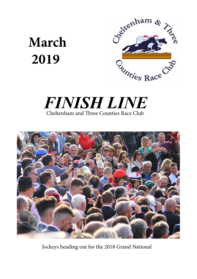# **March 2019**







Jockeys heading out for the 2018 Grand National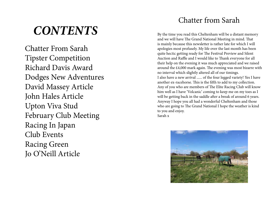# *CONTENTS*

Chatter From Sarah Tipster Competition Richard Davis Award Dodges New Adventures David Massey Article John Hales Article Upton Viva Stud February Club Meeting Racing In Japan Club Events Racing Green Jo O'Neill Article

### Chatter from Sarah

By the time you read this Cheltenham will be a distant memory and we will have The Grand National Meeting in mind. That is mainly because this newsletter is rather late for which I will apologies most profusely. My life over the last month has been quite hectic getting ready for The Festival Preview and Silent Auction and Raffle and I would like to Thank everyone for all their help on the evening it was much appreciated and we raised around the £4,000 mark again. The evening was most bizarre with no interval which slightly altered all of our timings. I also have a new arrival ...... of the four legged variety! Yes I have another ex-racehorse. This is the fifth to add to my collection. Any of you who are members of The Elite Racing Club will know him well as I have 'Volcanic' coming to keep me on my toes as I will be getting back in the saddle after a break of around 6 years. Anyway I hope you all had a wonderful Cheltenham and those who are going to The Grand National I hope the weather is kind to you and enjoy. Sarah x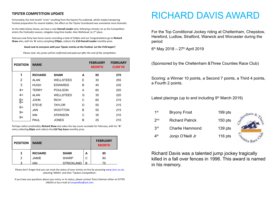#### **TIPSTER COMPETITION UPDATE**

Fortunately, the mid-month "crisis" resulting from the Equine Flu outbreak, whilst maybe hampering Festival preparation for several stables, the effect on the Tipster Scoreboard was somewhat more dramatic.

As the table below shows, we have a new **Overall Leader** who, following a timely run as the Competition enters the Festival(s) season, relegates long-time leader, Alan Wellstead, to  $2^{nd}$  place.

February saw forty-two horse scores recording a total of 320pts and our Congratulations go to **Richard Shaw** who, with his '**A**' entry compiling **270pts**, collects the **£10 Overall Leader** monthly prize.

#### *Good Luck to everyone with your Tipster entries at the Festival. Let the FUN begin!!*

*Please note: ALL prizes will be confirmed and paid out after the end of the competition.*

| <b>POSITION</b>                 | <b>NAME</b>    |                  |   | <b>FEBRUARY</b><br><b>MONTH</b> | <b>FEBRUARY</b><br><b>CUM'VE</b> |
|---------------------------------|----------------|------------------|---|---------------------------------|----------------------------------|
| 1                               | <b>RICHARD</b> | <b>SHAW</b>      | A | 85                              | 270                              |
| 2                               | <b>ALAN</b>    | <b>WELLSTEED</b> | E | 30                              | 255                              |
| 3                               | <b>HUGH</b>    | <b>EDWARDS</b>   | B | 40                              | 235                              |
| $4=$                            | <b>TERRY</b>   | <b>POULSON</b>   | A | 60                              | 220                              |
| $4=$                            | <b>ALAN</b>    | <b>WELLSTEED</b> | G | 35                              | 220                              |
| $6 = 6$<br>$6=$<br>$9=$<br>$9=$ | <b>JOHN</b>    | <b>RICH</b>      | C | 60                              | 215                              |
|                                 | <b>STEVE</b>   | <b>TAYLOR</b>    | D | 55                              | 215                              |
|                                 | JAN            | <b>WOOTTON</b>   | B | 55                              | 215                              |
|                                 | <b>IAN</b>     | <b>ATKINSON</b>  | C | 35                              | 210                              |
|                                 | <b>PAUL</b>    | <b>JONES</b>     | B | 25                              | 210                              |

Perhaps rather predictably, **Richard Shaw** also takes the top scorer accolade for February, with his "**A**" entry collecting **85pts** and collects the **£10 Top Score** monthly prize.

| <b>POSITION</b> | <b>NAME</b>    |                   |   | <b>FEBRUARY</b><br><b>MONTH</b> |
|-----------------|----------------|-------------------|---|---------------------------------|
|                 | <b>RICHARD</b> | <b>SHAW</b>       | А | 85                              |
| 2               | <b>JAMIE</b>   | <b>SHARP</b>      | С | 80                              |
| っ               | IAN            | <b>STRICKLAND</b> | R | 75                              |

Please don't forget that you can track the status of your entries on-line by accessing www.ctcrc.co.uk, selecting 'MENU' and then 'Tipsters Competition'.

If you have any questions about your entry, or its status, please contact Tony Coleman either on 07795 146242 or by e-mail at tonyandles@aol.com.

## RICHARD DAVIS AWARD

For the Top Conditional Jockey riding at Cheltenham, Chepstow, Hereford, Ludlow, Stratford, Warwick and Worcester during the period

 $6<sup>th</sup>$  May 2018 – 27<sup>th</sup> April 2019

(Sponsored by the Cheltenham &Three Counties Race Club)

Scoring: a Winner 10 points, a Second 7 points, a Third 4 points, a Fourth 2 points.

Latest placings (up to and including  $9<sup>th</sup>$  March 2019)

| 1 <sup>st</sup> | <b>Bryony Frost</b>    | $199$ pts |  |
|-----------------|------------------------|-----------|--|
| 2 <sub>nd</sub> | <b>Richard Patrick</b> | $150$ pts |  |
| 3 <sup>rd</sup> | <b>Charlie Hammond</b> | $139$ pts |  |
| 4 <sup>th</sup> | Jonjo O'Neill Jr       | $116$ pts |  |
|                 |                        |           |  |

Richard Davis was a talented jump jockey tragically killed in a fall over fences in 1996. This award is named in his memory.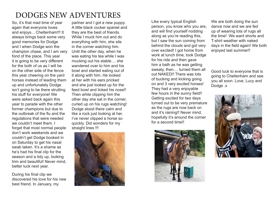### DODGES NEW ADVENTURES

So, it's that mad time of year again that everyone loves and enjoys... Cheltenham!!! It always brings back some very good memories for Dodge and I when Dodge won the champion chase, and I am very fond of the place. This year it is going to be very different for the both of us as I will be on the other side of the fence this year cheering on the yard horses instead of leading them up and unfortunately Dodge isn't going to be there strutting his stuff for everyone! We were asked back again this year to parade with the other former champions but due to the outbreak of the flu and the regulations that were needed we couldn't meet them. I forget that most normal people don't work weekends and we couldn't get Dodge booked in on Saturday to get his nasal swab taken. It's a shame as he's had his final clip for the season and a tidy up, looking trim and beautiful! Never mind, better luck next year.

During his final clip we discovered his love for his new best friend. In January, my

partner and I got a new puppy. A little black cocker spaniel and they are the best of friends. While I muck him out and do everything with him, she sits in the corner watching him. Until the other day, when he was eating his tea while I was mucking out his stable.... she wandered over to him and his bowl and started eating out of it along with him. He looked at her with his ears pricked and she just looked up for the feed bowl and licked his nose!! Then while clipping him the other day she sat in the corner, curled up on his rugs watching! Dodge stood there calm and like a rock just looking at her. I've never clipped a horse so quickly. Did wonders for my straight lines !!!



Like every typical English person, you know who you are, and will find yourself nodding along as you're reading this, but I saw the sun coming from behind the clouds and got very over excited! I got home from work at lunch time, took Dodge for his ride and then gave him a bath as he was getting sweaty, then.... turned them all out NAKED!! There was lots of bucking and kicking going on and 3 very excited horses! They had a very enjoyable few hours in the sunny field!! Getting excited for two days turned out to be very premature as the rugs are now back on and it's raining!! Never mind, hopefully it's around the corner for a second time!!



We are both doing the sun dance now and we are fed up of wearing lots of rugs all the time! We want shorts and T-shirt weather with naked days in the field again! We both enjoyed last summer!!

Good luck to everyone that is going to Cheltenham and see you all soon. Love, Lucy and Dodge .x

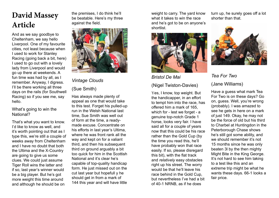### **David Massey Article**

And as we say goodbye to Cheltenham, we say hello Liverpool. One of my favourite cities, not least because when I used to work for Stanley Racing (going back a bit, here) I used to go out with a lovely lady from Liverpool and would go up there at weekends. A fun time was had by all, as I remember. Anyway, I digress. I'll be there working all three days on the rails (for Southwell Racing) so if you see me, say hello.

#### What's going to win the National?

That's what you want to know. I'd like to know as well, and it's worth pointing out that as I type this, we're still a couple of weeks away from Cheltenham and I have no doubt that both the Ultima and the X-Country are going to give us some clues. We could just assume Tiger Roll wins the latter and if so, last year's winner would be a big player. But he's got more weight this time around and although he should be on

the premises, I do think he'll be beatable. Here's my three against the field.



### *Vintage Clouds*

### (Sue Smith)

Has always made plenty of appeal as one that would take to this test. Forget his pulled-up run in the Welsh National last time, Sue Smith was well out of form at the time, a readymade excuse. Concentrate on his efforts in last year's Ultima, where he was front rank all the way and kept on for a valiant third, and then his subsequent third on ground arguably a bit too quick for him in the Scottish National and it's clear he's capable of top-quality handicap form. He just missed out on the cut last year but hopefull y he should get in from a mark of 144 this year and will have little

weight to carry. The yard know what it takes to win the race and he's got to be on anyone's shortlist.



*Bristol De Mai* 

### (Nigel Twiston-Davies)

Yes, I know, top weight. But the handicapper, in an effort to tempt him into the race, has offered him a mark of 165, which for - lest we forget - a genuine top-notch Grade 1 horse, looks very fair. I have said all for a couple of years now that this could be his race rather than the Gold Cup (by the time you read this, he'll have probably won that race easily. If so, please disregard this bit), with the flat track and *relatively* easy obstacles right up his street. The worry would be that he'll leave his race behind in the Gold Cup, but nevertheless I've had a bit of 40-1 NRNB, as if he does

turn up, he surely goes off a lot shorter than that.



*Tea For Two*  (Jane Williams)

Have a guess what mark Tea For Two is on these days? Go on, guess. Well, you're wrong (probably). I was amazed to see he gets in here on a mark of just 149. Okay, he may not be the force of old but his third to Charbel at Huntingdon in the Peterborough Chase shows he's still got some ability, and we should remember it's not 15 months since he was only beaten 3l by the then mighty Might Bite in the King George. It's not hard to see him taking to a test like this and an extreme trip might be what he wants these days. 66-1 looks a fair price.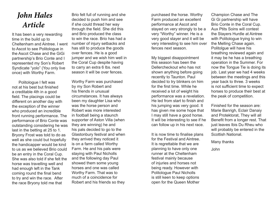### *John Hales Article*

It has been a very rewarding time in the build up to Cheltenham and Aintree. I went to Ascot to see Politologue in the Ascot Chase and the GiGi partnership's Brio Conte and I represented my Son's Robert Syndicate "yolo" (You only live once) with Worthy Farm.

 Politologue I felt was not at his best but finished a creditable 4th in a good field. The placings could be different on another day with the exception of the winner who produced an incredible front running performance. The performance of Brio Conte was outstanding considering he was last in the betting at 25 to 1. Bryony Frost was told to do as well as she could but hopefully the handicapper would be kind to us as we believed Brio could be an entry in the Coral Cup. She was also told if she felt the horse was travelling well and had enough left in the Tank coming round the final bend to try and win the race. After the race Bryony told me that

Brio felt full of running and she decided to push him and see if she could thread her way through the field. She did this and Brio produced the class to win the race. Brio has had a number of injury setbacks and has still to produce the goods over fences. He is a good jumper and we wish him well in the Coral Cup despite having to carry an extra 6 lbs. next season it will be over fences.

Worthy Farm was purchased by my Son Robert and his friends in unusual circumstances. It has always been my daughter Lisa who was the horse person and Robert was more interested in football being a staunch supporter of Aston Villa (when they are winning) he and his pals decided to go to the Glastonbury festival and when they arrived they noticed it is on a farm called Worthy Farm. He and his pals were staying with Paul Nicholls and the following day Paul showed them some young horses and one was called Worthy Farm. That was to much of a coincidence for Robert and his friends so they

purchased the horse. Worthy Farm produced an excellent performance at Ascot and stayed on very strongly to be a very "Worthy" winner. He is a very good stayer and it will be very interesting to see him over fences next season.

My biggest disappointment this season has been the Dellercheckout who has not shown anything before going recently to Taunton. Paul decided to try blinkers on him for the first time. While he received a lot of weight his performance was a revelation. He led from start to finish and his jumping was very good. It has given me some hope that I may still have a good horse. It will be interesting to see if he can follow up in his next race.

It is now time to finalise plans for the Festival and Aintree. It is regrettable that we are planning to have only one runner at the Cheltenham festival mainly because of injuries and horses not being ready. However with Politologue Paul Nicholls is still keen to keep options open for the Queen Mother

Champion Chase and The Gi Gi partnership will have Brio Conte in the Coral Cup. Aux Ptits Soins will contest the Stayers Hurdle at Aintree with Politologue trying to win the Melling Chase again. Politolgue will have his breathing reviewed again and it may be he has a breathing operation in the Summer. For now the Tongue Tie is doing its job. Last year we had 4 weeks between the meetings and this year back to three. 3 weeks is not sufficient time to expect horses to produce their best at the peak of competition.

Finished for the season are: Marie Banrigh, Eclair Danaiy and Protektorat, They will all Benefit from a longer rest. That just leaves Ibis Du Rheu who will probably be entered in the Scottish National.

Many thanks

John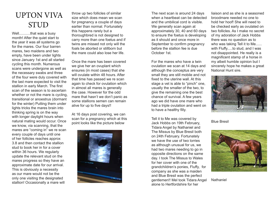### UPTON VIVA STUD

Well...........that was a busy month! After the quiet start to the year it was all systems go for the mares. Our four barren mares, two maidens and two empty, have been under lights since January 1st and all started cycling this month. Numerous scans were undergone as well as the necessary swabs and three of the four were duly covered with the last mare expected to visit the stallion in early March. The first scan of the season is to ascertain whether or not the mare is cycling, transitional or anoestrus (dormant for the winter) Putting them under lights tricks the mares brain into thinking spring is on the way with longer daylight hours when natural mating would occur. Once we know, via scanning, that the mares are "coming in" we re scan every couple of days until one of her follicles reaches approx 3.8 and then contact the stallion stud to book her in for a cover within 36 hours. We regularly update the relevant stud on the mares progress so they have an approximate date for our arrival. This is obviously a necessity as our mare would not be the only one visiting the designated stallion! Occasionally a mare will

throw up two follicles of similar size which does mean we scan for pregnancy a couple of days earlier than normal. Fortunately this happens rarely but a thoroughbred is not designed to carry more than one foetus and if twins are missed not only will the foals be aborted or stillborn but the mare could also lose her life.

Once the mare has been covered we give her an ovuplant which ensures (in most cases) that she will ovulate within 48 hours. After that time has passed we re scan again to check for ovulation which in almost all mares is generally the case. However for the odd mare that hasn't we don't panic as some stallions semen can remain alive for up to five days!!

At 16 days post covering, we can scan for a pregnancy which at this point looks like the picture below



The next scan is around 24 days when a heartbeat can be detected and the umbilical cord is visible. We generally scan again at approximately 30, 40 and 60 days to ensure the foetus is developing as it should and once more in September to confirm pregnancy before the stallion fee is due October 1st.

For the mares who have a twin ovulation we scan at 14 days and although the conceptus are very small they are still mobile and not fixed to the uterine wall. At this stage a vet is able to "pinch" one, usually the smaller of the two, to give the remaining one the best chance of survival. A few years ago we did have one mare who had a triple ovulation and went on to have a healthy filly.

Tell it to Me was covered by Jack Hobbs on 19th February, Tidara Angel by Nathaniel and The Missus by Blue Bresil both on 24th February. Fortunately we have the use of two lorries as although unusual for us, we had two mares needing to go in opposite directions on the same day. I took The Missus to Wales for her cover with one of the grandchildren's ponies, Fluffy, for company as she was a maiden and Blue Bresil was the perfect gentlemen!! Mel took Tidara Angel alone to Hertfordshire for her

liaison and as she is a seasoned broodmare needed no one to hold her hoof! She will need to be checked early as ovulated on two follicles. As I make no secret of my adoration of Jack Hobbs there was no question as to who was taking Tell it to Me...... with Fluffy.....to stud, and I was not disappointed. He really is a magnificent stamp of a horse in my albeit humble opinion but I sincerely hope he makes a great National Hunt sire.



#### Blue Bresil



Nathaniel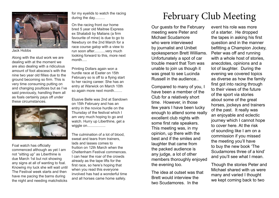

Jack Hobbs

Along with the stud work we are dealing with at the moment we are also dealing with a ridiculous amount of foot abscess's with the nine two year old fillies due to the ground becoming so firm. This is very time consuming putting on and changing poultices but as I've said previously, handling them all as foals certainly pays off under these circumstances.



Foal watch has officially commenced although as yet I am not "sitting up" as Liberthine is due March 1st but not showing any signs at all of wanting to foal. Knowing my luck she will wait until The Festival week starts and then have me pacing the barns during the night and needing matchsticks for my eyelids to watch the racing during the day..........

On the racing front our home bred 5 year old Maitree Express ex Shatabdi by Malians (a firm favourite of mine) is due to go to Newbury on the 2nd March for a race course galop with a view to run soon after...........very much looking forward to this, more next month

Printing Dollars again won a hurdle race at Exeter on 15th February so is off to a flying start to her racing career. She has an entry at Warwick on March 10th so again more next month........

Elusive Belle was 2nd at Sandown on 15th February and has an entry in the novice hurdle on the Thursday of the festival which I am very much hoping to go and watch. Hurry up Liberthine, get a wiggle on..................

The culmination of a lot of blood, sweat and tears from trainers, lads and lasses comes to fruition on 12th March when the Cheltenham Festival commences. I can hear the roar of the crowds already as the tape lifts for the first race, so here's hoping that when you read this everyone involved has had a wonderful time and all horses came home safely.

# February Club Meeting

Our guests for the February meeting were Peter and Michael Scudamore who were interviewed by journalist and Unibet spokesperson Brett Williams. Unfortunately a spot of car trouble meant that Tom was unable to join us though it was great to see Lucinda Russell in the audience..

Compared to many of you, I have been a member of the Club for a relatively short time. However, in those few years I have been lucky enough to attend some really excellent club nights with some first rate speakers. This meeting was, in my opinion, up there with the best and if the smiles and laughter that came from the packed audience is any judge, a lot of other members thoroughly enjoyed the evening too.

The idea at outset was that Brett would interview the two Scudamores. In the

event his role was more of a starter. He dropped the tapes in asking his first question and in the manner befitting a Champion Jockey, Peter was off and running with a whole host of stories, anecdotes, opinions and a lot of laughter. During the evening we covered topics as diverse as how the family first got into racing through to their views of the future of the sport via stories about some of the great horses, jockeys and trainers of the past. It really was an enjoyable and eclectic journey which I cannot hope to cover here. At the risk of sounding like I am on a commission if you missed the meeting you'll have to buy the new book 'The Scudamores three of a kind' and you'll see what I mean.

Though the stories Peter and Michael shared with us were many and varied I thought we kept coming back to two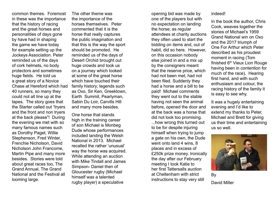common themes. Foremost in these was the importance that the history of racing and the great horses and personalities of days gone by have had in shaping the game we have today for example setting up the Jockeys Association. Peter reminded us of the days of cork helmets, no body protectors and sometimes huge fields. He told us a great story of a Novice Chase at Hereford which had 40 runners, so many they could not all line up at the tapes. The story goes that the Starter called out "tryers and the front and non tryers at the back please"! During the evening we met with so many famous names such as Dorothy Paget, Willie Stephenson, Fred Winter, Frenchie Nicholson, David Nicholson John Francome, Martin Pipe and many more besides. Stories were told about great races too, The Grand Annual, The Grand National and the Festival all looming large.

The other theme was the importance of the horses themselves. Peter commented that it is the horse that really captures the public imagination and that this is the way the sport should be promoted. He reminded us of the days of Desert Orchid brought out huge crowds and took us on a journey which looked at some of the great horse which have touched their family history; legends such as Oxo, Sir Ken, Greektown, Earth Summit, Pearlyman, Sabin Du Loir, Carvills Hill and many more besides.

One horse that stands high in the training career of son Michael is Monbeg Dude whose performances included landing the Welsh National in 2013. Michael recalled the rather 'unusual' way the horse was acquired. While attending an auction with Mike Tindall and James Simpson- Daniel then of Gloucester rugby (Michael himself was a talented rugby player) a speculative

opening bid was made by one of the players but with no expectation on landing the horse; as regular attendees at charity auctions they often used to start the bidding on items and, out of habit, did so here. However, on this occasion nobody else joined in and a mix up by the consigners meant that the reserve price, which had not been met, had not been filed. Suddenly they had a horse and a bill to be paid! Michael comments they went out to the stable having not seen the animal before, opened the door and at the back was a horse that did not look too promising. ...how wrong this turned out to be for despite injuring himself when trying to jump a gate on his own, the Dude went onto land 4 wins, 8 places and in excess of £250k prize money. Ironically the day after our February meeting I took Katie to her first Tattersalls auction at Cheltenham with strict instructions to stay very still

#### indeed!

In the book the author, Chris Cook, weaves together the stories of Michael's 1959 Grand National win on Oxo and the 2017 triumph of One For Arthur which Peter described as his proudest moment in racing (Tom finished 6<sup>th</sup> Vieux Lion Rouge having been in contention for much of the race). Hearing first hand, and with such enthusiasm and colour, the racing history of the family it is easy to see why.

It was a hugely entertaining evening and I'd like to extend my thanks to Peter, Michael and Brett for giving us their time and entertaining us so well.



By David Miller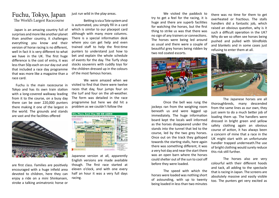#### Fuchu, Tokyo, Japan The World's Largest Racecourse

 Japan is an amazing country full of surprises and more like another planet than another country, it challenges everything you know and their version of horse racing is no different, well in fact it is very different to what we have in the UK. The first huge difference is the cost of entry, it was less than 50p each on our day out and that included a race day programme that was more like a magazine than a race card.

 Fuchu is the main racecourse in Tokyo and has its own train station with a long-covered walkway leading from it to the course, on a busy day there can be over 220,000 punters there making it one of the largest in the world. The grounds and stands are vast and the facilities offered



are first class. Families are positively encouraged with a huge infield area devoted to children, here they can enjoy a ride on a mini Shinkansen, stroke a talking animatronic horse or just run wild in the play-areas.

Betting is via a Tote system and is automated, you simply fill in a card which is similar to our placepot card although with many more columns. There is a special information desk where you can get help and even trained staff to help the first-time punters to understand just how to bet and explain the whole schedule of events for the day. The Turfy shop stocks souvenirs with cuddly toys for the children dressed up in the colours of the most famous horses.

We were amazed when we visited to find that there were twelve races that day, four jumps four on the turf and four on the all-weather. The form was detailed in the race programme but here we did hit a problem as we couldn't follow the



Japanese version at all, apparently English versions are made available though. The first race started at eleven o'clock, and with one every half an hour it was a very full days racing.

We visited the paddock to try to get a feel for the racing, it is huge and there are superb facilities for watching the horses, but the first thing to strike us was that there was no sign of any trainers or connections. The horses were being led around as usual and there were a couple of beautiful grey horses being ridden by two red coated escorts.



Once the bell was rung the jockeys ran from the weighing room beneath us and were legged up immediately. The huge information board kept the locals well informed as the horses disappeared under the stands into the tunnel that led to the course, led by the two grey horses. Once out on the track they galloped towards the starting stalls, here again there was something different, it was a very hot day and near the start there was an open barn where the horses could shelter out of the sun to cool off before they were loaded.

The speed with which the horses were loaded was nothing short of astounding, with up to twenty being loaded in less than two minutes

there was no time for them to get overheated or fractious. The stalls handlers did a fantastic job, which raised an obvious question, why is it such a difficult operation in the UK? Why do we so often see horses being pushed and pulled with blindfolds and blankets and in some cases just refusing to enter them at all.



The Japanese horses are all thoroughbreds, many descended from the same lines as our own, they just seem to do a much better job of loading them up. The handlers were dressed in bright green and yellow safety clothing again an obvious course of action, it has always been a concern of mine that a race in the UK might start with an unfortunate handler trapped underneath.The use of bright clothing would surely reduce this risk still further.

The horses also are very colourful with their different hoods and tack, all adding to the spectacle that is racing in Japan. The screens are absolutely massive and easily visible too. The punters get very excited as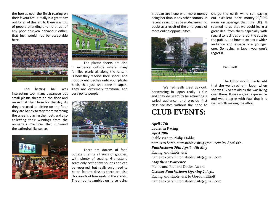the horses near the finish roaring on their favourites. It really is a great day out for all of the family, there was mix of people attending and no threat of any poor drunken behaviour either, that just would not be acceptable here.



The betting hall was interesting too, many Japanese put small plastic sheets on the floor and make that their base for the day. As they are used to sitting on the floor they are happy to stay there watching the screens placing their bets and also collecting their winnings from the numerous machines that surround the cathedral like space.





The plastic sheets are also in evidence outside where many families picnic all along the rails, it is how they reserve their space, and nobody encroaches onto your plastic pitch, that just isn't done in Japan. They are extremely territorial and very polite people.



There are dozens of food outlets offering all sorts of goodies, with plenty of seating. Grandstand seats only cost a few pounds and can be reserved, but really only need to be on feature days as there are also thousands of free seats in the stands. The amounts gambled on horse racing in Japan are huge with more money being bet than in any other country. In recent years it has been declining, no doubt as a result of the emergence of more online opportunities.



We had really great day out, horseracing in Japan really is fun and they do seem to be attracting a varied audience, and provide first class facilities without the need to

### **CLUB EVENTS:**

*April 17th*  Ladies in Racing *April 20th* Stable visit to Philip Hobbs names to Sarah ctcrcstablevisits@gmail.com by April 6th *Punchestown 30th April - 4th May* Racing and stable visit names to Sarah ctcrcstablevisits@gmail.com *May tbc at Worcester* Picnic and Richard Davies Award *October Punchestown Opening 2 days.* Racing and stable visit to Gordon Elliott names to Sarah ctcrcstablevisits@gmail.com

charge the earth while still paying out excellent prize money(20/30% more on average than the UK). It seemed to us that we could learn a great deal from them especially with regard to facilities offered, the cost to the public, and how to attract a wider audience and especially a younger one. Go racing in Japan you won't regret it.

Paul Trott

The Editor would like to add that she went racing in Japan when she was 12 years old as she was living over there. It was a great experience and would agree with Paul that it is well worth making the effort.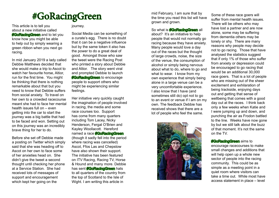# #GoRacingGreen

This article is to tell you about a new initiative called **#GoRacingGreen** and to let you know how you might be able to help out by simply wearing a green ribbon when you next go racing.

In mid January 2019 a lady called Debbie Matthews decided that she would make a trip to Ascot to watch her favourite horse, Altior, run for the first time. You might be thinking that there is nothing remarkable about that but you need to know that Debbie suffers from social anxiety. To travel on her own to a crowded racecourse meant she had to face her mental health issues full on – even getting into the car to start the journey was a big battle that had to be faced and won. Setting out on this journey was an incredibly brave thing for her to do.

Before she set off Debbie made a posting on Twitter which simply said that she was heading off to Ascot on her own to face some of her anxieties head on. She didn't give the tweet a second thought until checking her phone at a Service Station. She had received lots of messages of support and encouragement which kept her going on the

journey.

Social Media can be something of a curate's egg. There is no doubt that it can be a negative influence but by the same token it also has the power to do a great deal of good. Amongst those who saw the tweet were the Racing Post who printed a story about Debbie and Altior. The story went viral and prompted Debbie to launch **#GoRacingGreen** to encourage people to support others who might be experiencing similar feelings.

Her initiative very quickly caught the imagination of people involved in racing, the media and some race courses too. Support has come from many quarters including Tom Lacey, Nicky Henderson, Fergal O'Brien and Kayley Woollacott. Hereford named a race **#GoRacingGreen** (though it sadly fell into the period where racing was cancelled) Ascot, Ffos Las and Chepstow have also shown their support. The initiative has been featured on ITV Racing, Racing TV, Horse & Hound and many more. Debbie has sent **#GoRacingGreen** hats to all quarters of the country from the top of Scotland to the Isle of Wight. I am writing this article in

mid February, I am sure that by the time you read this list will have grown and grown.

So what is **#GoRacingGreen** all about? It's an initiative to help people that would not normally go racing because they have anxiety. Many people would love a day out of the races but the thought of large crowds, noise, the size of the venue, the consumption of alcohol or simply being nervous about what to do, where to go and what to wear. I know from my own experience that simply being alone in a large venue can be a very uncomfortable experience. I also know that I have (and sometimes still do) opt not to go to an event or venue if I am on my own. The feedback Debbie has received shows that there are a lot of people who feel the same.



Some of these race goers will suffer from mental health issues. There will be others who may have lost a partner and are now alone, some may be suffering from dementia others may be lonely or shy. There are many reasons why people may decide not to go racing. Those that have analysed the statistics suggest that if only 1% of those who suffer from anxiety or depression could be encouraged to go racing that would be an additional 30,000 race goers. That is a lot of people who are missing out of the sheer excitement and exhilaration of being trackside, enjoying days out and getting that sense of wellbeing that comes with a good day out at the races. I think back only a few weeks when Katie and I were jumping up and down, and punching the air as Frodon battled to the line. Weeks have now gone by but we still talk about the buzz of that moment. It's not the same on the TV.

### **#GoRacingGreen** aims to

encourage racecourses to make small changes and additions that will help open up a whole new sector of people into the racing community. This could be as simple as a meeting point in a quiet room where visitors can take a time out. While most have access statement in place – level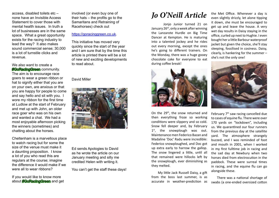access, disabled toilets etc – none have an Invisible Access Statement to cover those with mental health issues. In truth a lot of businesses are in the same space. What a great opportunity exists for the racing industry to lead the way? It also makes sound commercial sense; 30,000 is a lot of turnstile clicks and revenue.

We also want to create a **#GoRacingGreen** community. The aim is to encourage race goers to wear a green ribbon or hat to signify either that you are on your own, are anxious or that you are happy for people to come and say hello and sit with you. I wore my ribbon for the first time at Ludlow at the start of February and met up with John, an older race goer who was on his own and wanted a chat. We had a most enjoyable afternoon picking the winners (sometimes) and chatting about the horses.

Cheltenham is a marvellous place to watch racing but for some the size of the venue must make it a daunting proposition. I know a lot of you who read this are regulars at the course; imagine the difference it would make if we were all to wear ribbons?

If you would like to know more about **#GoRacingGreen** and get involved (or even buy one of their hats – the profits go to the Samaritans and Retraining of Racehorses) check out

#### https://goracinggreen.co.uk.

This initiative has moved very quickly since the start of the year and I am sure that by the time this article is printed there will be a lot of new and exciting developments to read about.

David Miller



Ed sends Apologies to David as he wrote the article on our January meeting and silly me credited Helen with writing it.

You can't get the staff these days!

### *Jo O'Neill Article*

Jonjo Junior turned 21 on January 26<sup>th</sup>, only a week after winning the Lanzarote Hurdle on Big Time Dancer at Kempton. He is maturing into a talented jockey and he rides out every morning, except the ones he's going to different trainers. On the Monday, there was a huge gooey chocolate cake for everyone to eat during coffee break!



On the 29<sup>th</sup>, the snow returned and then everything froze so working conditions were slippery and so cold. Snow fell deeper and, by February  $1<sup>st</sup>$ , the snowplough was out. Maintenance men Federico Bazan and Madaline 'Doc' Radu were incredible: Federico snowploughed, and Doc got up extra early to harrow the gallop. The snow lingered a little, until all that remained were hillocks left by the snowplough, ever diminishing as they melted.

 My little Jack Russell Daisy, a gift from the boss last summer, is as accurate in weather-prediction as

the Met Office. Whenever a day is even slightly drizzly, let alone tipping it down, she must be encouraged to get up and leave the house. A very wet day results in Daisy staying in the office, curled up next to Hughie. I even bought her a little Barbour waterproof jacket but given the choice, she'll stay sleeping, fossilised in cosiness. Daisy, clearly, is hankering for the summer – she's not the only one!



February 7th saw racing cancelled due to cases of equine flu. There were over 170 yards on "lockdown", including us. We quarantined our four runners from the previous day at the satellite yard. The atmosphere strangely buzzed, and I was reminded of foot and mouth in 2001, when I worked in my first fulltime job in racing and the sad day at Newbury when two horses died from electrocution in the paddock. These were surreal times in racing, and the equine flu can go alongside these.

 There was a national shortage of swabs (a one-ended oversized cotton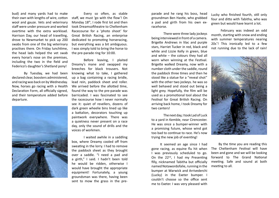bud) and many yards had to make their own with lengths of wire, cotton wool and gauze. Vets and veterinary staff were under pressure and worked overtime with the extra workload. Harrison Day, our head of travelling, drove to Newmarket to pick up 200 swabs from one of the big veterinary practises there. On Friday lunchtime, the head lads helped the vet swab every horse's nose on the premises, including the two in the field and Federico's daughter's Shetland pony!

By Tuesday, we had been declared clear, boosters administered, and racing was back on by Wednesday. Now, horses go racing with a Health Declaration Form, all officially signed, and their temperature added before departure.



Every so often, as stable staff, we must 'go with the flow'! On Monday 18<sup>th</sup>, I rode first lot and then took Dreamsoftheatre to Cheltenham Racecourse for a 'photo shoot' for Great British Racing, an enterprise dedicated to promoting horseracing, but everything was a bit ambiguous. I was simply told to bring the horse to the pre-parade ring for 10:00.

Before leaving, I plaited Dreamy's mane and swapped my breeches for black trousers. Not knowing what to take, I gathered up a bag containing a racing bridle, lead rein, paddock sheet and roller. We arrived before the allotted time. found the way to the pre-parade was barricaded. I was fascinated to see the racecourse how I never normally see it: quiet of revellers, dozens of dark green wheelie bins lined up like a battalion, decorators touching up paintwork everywhere. There was a quietness never present on a race day, only the sound of drills and the voices of workmen.

I waited awhile in a saddling box, where Dreamy cooled off from sweating in the lorry. I had to remove the paddock sheet as they brought over a saddle. "I need a pad and a girth," I said. I hadn't been told he would be ridden, otherwise I would have brought the appropriate equipment! Fortunately, a young groundsman was there, having been sent to mow the grass in the pre-

parade and he rang his boss, head groundman Ben Hastie, who grabbed a pad and girth from his own exracehorse.

There were three lady jockeys being interviewed in front of a camera. Brigette Andrews in lilac and purple stars, Harriet Tucker in red, black and white and Lizzie Kelly in green, blue and white – the colours they had all worn when winning at the Festival. Brigette walked Dreamy, now with a number cloth under the saddle, round the paddock three times and then he stood like a statue for a "reveal shot" with the other two jockeys. he was so well behaved and stood out being a light grey. Hopefully, the film will be used as a promotional tool about the Festival for Great British Racing. On arriving back home, I took Dreamy for two canters!

The next day, I took Lad of Luck to a yard in Kemble, near Cirencester. He was once a bumper-winner with a promising future, whose wind got too bad to continue to race. He's now trying the new job of eventing!

 It seemed an age since I had gone racing, as equine flu hit when I was previously scheduled to go. On the  $22^{nd}$ , I had my Presenting filly, nicknamed Tabitha but officially named Notawordofalie, running in the bumper at Warwick and Arrivederchi (Lucky) in the Exeter bumper. I couldn't choose so the office sent me to Exeter. I was very pleased with

Lucky who finished fourth, still only four and ditto with Tabitha, who was green but would have learnt a lot.

 February was indeed an odd month, starting with snow and ending with summer temperatures nearing 20s˚! This ironically led to a few not running due to the lack of rain!



 By the time you are reading this The Cheltenham Festival will have been and gone and we will be looking forward to The Grand National meeting. Safe and sound at both meeting to all.